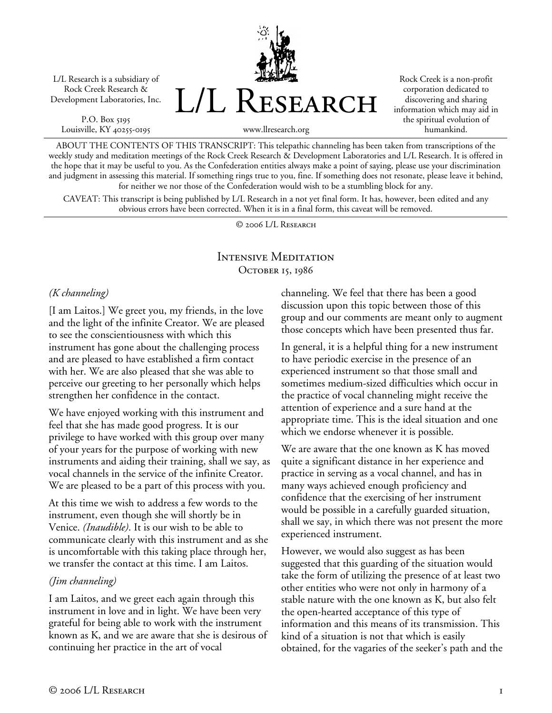L/L Research is a subsidiary of Rock Creek Research & Development Laboratories, Inc.

P.O. Box 5195 Louisville, KY 40255-0195 L/L Research

Rock Creek is a non-profit corporation dedicated to discovering and sharing information which may aid in the spiritual evolution of humankind.

www.llresearch.org

ABOUT THE CONTENTS OF THIS TRANSCRIPT: This telepathic channeling has been taken from transcriptions of the weekly study and meditation meetings of the Rock Creek Research & Development Laboratories and L/L Research. It is offered in the hope that it may be useful to you. As the Confederation entities always make a point of saying, please use your discrimination and judgment in assessing this material. If something rings true to you, fine. If something does not resonate, please leave it behind, for neither we nor those of the Confederation would wish to be a stumbling block for any.

CAVEAT: This transcript is being published by L/L Research in a not yet final form. It has, however, been edited and any obvious errors have been corrected. When it is in a final form, this caveat will be removed.

© 2006 L/L Research

## Intensive Meditation OCTOBER 15, 1986

## *(K channeling)*

[I am Laitos.] We greet you, my friends, in the love and the light of the infinite Creator. We are pleased to see the conscientiousness with which this instrument has gone about the challenging process and are pleased to have established a firm contact with her. We are also pleased that she was able to perceive our greeting to her personally which helps strengthen her confidence in the contact.

We have enjoyed working with this instrument and feel that she has made good progress. It is our privilege to have worked with this group over many of your years for the purpose of working with new instruments and aiding their training, shall we say, as vocal channels in the service of the infinite Creator. We are pleased to be a part of this process with you.

At this time we wish to address a few words to the instrument, even though she will shortly be in Venice. *(Inaudible)*. It is our wish to be able to communicate clearly with this instrument and as she is uncomfortable with this taking place through her, we transfer the contact at this time. I am Laitos.

## *(Jim channeling)*

I am Laitos, and we greet each again through this instrument in love and in light. We have been very grateful for being able to work with the instrument known as K, and we are aware that she is desirous of continuing her practice in the art of vocal

channeling. We feel that there has been a good discussion upon this topic between those of this group and our comments are meant only to augment those concepts which have been presented thus far.

In general, it is a helpful thing for a new instrument to have periodic exercise in the presence of an experienced instrument so that those small and sometimes medium-sized difficulties which occur in the practice of vocal channeling might receive the attention of experience and a sure hand at the appropriate time. This is the ideal situation and one which we endorse whenever it is possible.

We are aware that the one known as K has moved quite a significant distance in her experience and practice in serving as a vocal channel, and has in many ways achieved enough proficiency and confidence that the exercising of her instrument would be possible in a carefully guarded situation, shall we say, in which there was not present the more experienced instrument.

However, we would also suggest as has been suggested that this guarding of the situation would take the form of utilizing the presence of at least two other entities who were not only in harmony of a stable nature with the one known as K, but also felt the open-hearted acceptance of this type of information and this means of its transmission. This kind of a situation is not that which is easily obtained, for the vagaries of the seeker's path and the